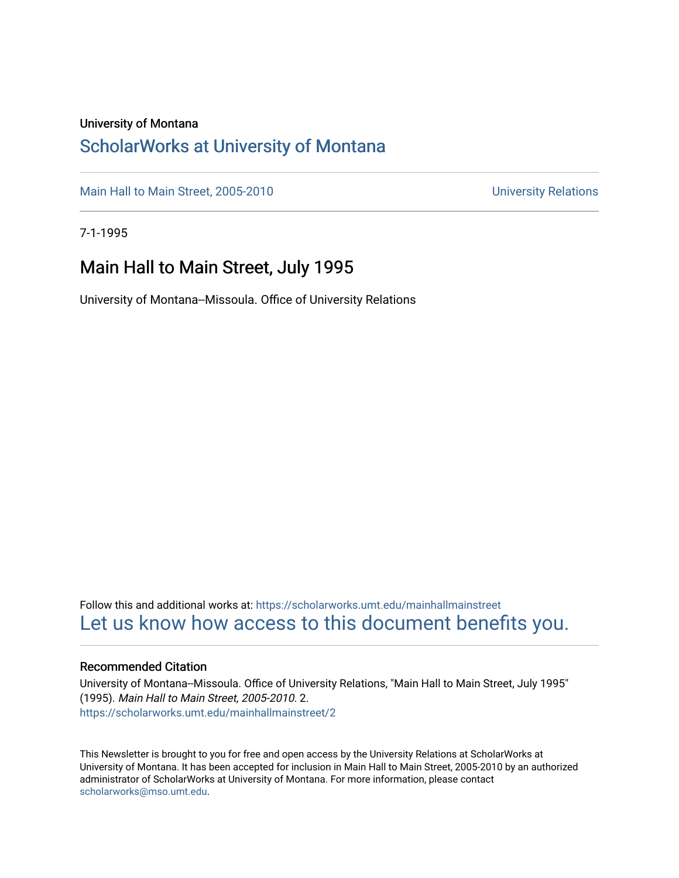## University of Montana

## [ScholarWorks at University of Montana](https://scholarworks.umt.edu/)

[Main Hall to Main Street, 2005-2010](https://scholarworks.umt.edu/mainhallmainstreet) Main Hall to Main Street, 2005-2010

7-1-1995

## Main Hall to Main Street, July 1995

University of Montana--Missoula. Office of University Relations

Follow this and additional works at: [https://scholarworks.umt.edu/mainhallmainstreet](https://scholarworks.umt.edu/mainhallmainstreet?utm_source=scholarworks.umt.edu%2Fmainhallmainstreet%2F2&utm_medium=PDF&utm_campaign=PDFCoverPages) [Let us know how access to this document benefits you.](https://goo.gl/forms/s2rGfXOLzz71qgsB2) 

## Recommended Citation

University of Montana--Missoula. Office of University Relations, "Main Hall to Main Street, July 1995" (1995). Main Hall to Main Street, 2005-2010. 2. [https://scholarworks.umt.edu/mainhallmainstreet/2](https://scholarworks.umt.edu/mainhallmainstreet/2?utm_source=scholarworks.umt.edu%2Fmainhallmainstreet%2F2&utm_medium=PDF&utm_campaign=PDFCoverPages) 

This Newsletter is brought to you for free and open access by the University Relations at ScholarWorks at University of Montana. It has been accepted for inclusion in Main Hall to Main Street, 2005-2010 by an authorized administrator of ScholarWorks at University of Montana. For more information, please contact [scholarworks@mso.umt.edu.](mailto:scholarworks@mso.umt.edu)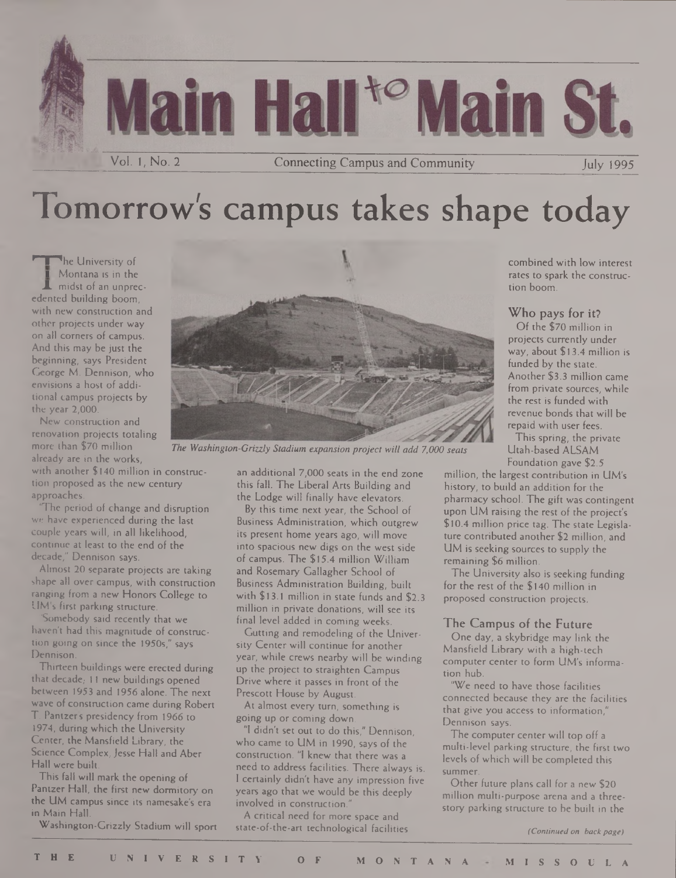

# Tomorrow's campus takes shape today

**The University of <sup>1</sup>** Montana is in the midst of an unprecedented building boom, with new construction and other projects under way on all corners of campus. And this may be just the beginning, says President George M. Dennison, who envisions a host of additional campus projects by the year 2,000.

New construction and renovation projects totaling more than \$70 million already are in the works,

with another \$140 million in construction proposed as the new century approaches.

'The period of change and disruption we have experienced during the last couple years will, in all likelihood, continue at least to the end of the decade," Dennison says.

Almost 20 separate projects are taking shape all over campus, with construction ranging from a new Honors College to UM's first parking structure.

Somebody said recently that we haven't had this magnitude of construction going on since the 1950s," says Dennison.

Thirteen buildings were erected during that decade,  $11$  new buildings opened between 1953 and 1956 alone. The next wave of construction came during Robert T. Pantzers presidency from 1966 to 1974, during which the University Center, the Mansfield Library, the Science Complex, Jesse Hall and Aber Hall were built.

This fall will mark the opening of Pantzer Hall, the first new dormitory on the UM campus since its namesake's era in Main Hall.

Washington-Grizzly Stadium will sport



*The Washington-Grizzly Stadium expansion project will add 7,000 seats*

an additional 7,000 seats in the end zone this fall. The Liberal Arts Building and the Lodge will finally have elevators.

By this time next year, the School of Business Administration, which outgrew its present home years ago, will move into spacious new digs on the west side of campus. The \$15.4 million William and Rosemary Gallagher School of Business Administration Building, built with \$13.1 million in state funds and \$2.3 million in private donations, will see its final level added in coming weeks.

Gutting and remodeling of the University Center will continue for another year, while crews nearby will be winding up the project to straighten Campus Drive where it passes in front of the Prescott House by August.

At almost every turn, something is going up or coming down.

"I didn't set out to do this," Dennison, who came to UM in 1990, says of the construction. "I knew that there was a need to address facilities. There always is. I certainly didn't have any impression five years ago that we would be this deeply involved in construction."

A critical need for more space and state-of-the-art technological facilities combined with low interest rates to spark the construction boom.

Who pays for it?

Of the \$70 million in projects currently under way, about \$13.4 million is funded by the state. Another \$3.3 million came from private sources, while the rest is funded with revenue bonds that will be repaid with user fees.

This spring, the private Utah-based ALSAM Foundation gave \$2.5

million, the largest contribution in UM's history, to build an addition for the pharmacy school. The gift was contingent upon UM raising the rest of the project's \$10.4 million price tag. The state Legislature contributed another \$2 million, and UM is seeking sources to supply the remaining \$6 million.

The University also is seeking funding for the rest of the \$140 million in proposed construction projects.

## The Campus of the Future

One day, a skybridge may link the Mansfield Library with a high-tech computer center to form UM's information hub.

"We need to have those facilities connected because they are the facilities that give you access to information," Dennison says.

The computer center will top off a multi-level parking structure, the first two levels of which will be completed this summer.

Other future plans call for a new \$20 million multi-purpose arena and a threestory parking structure to be built in the

*(Continuedon backpage)*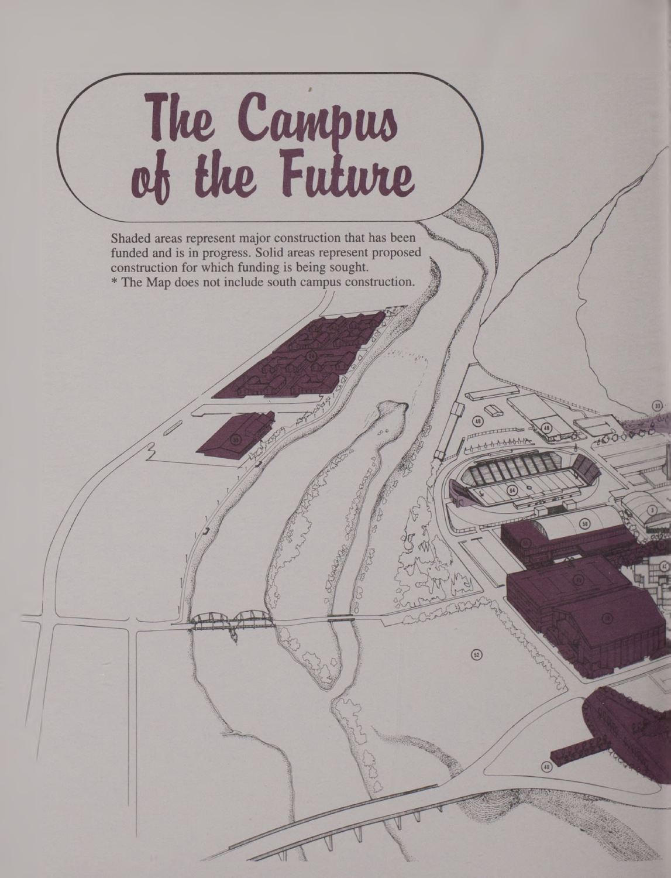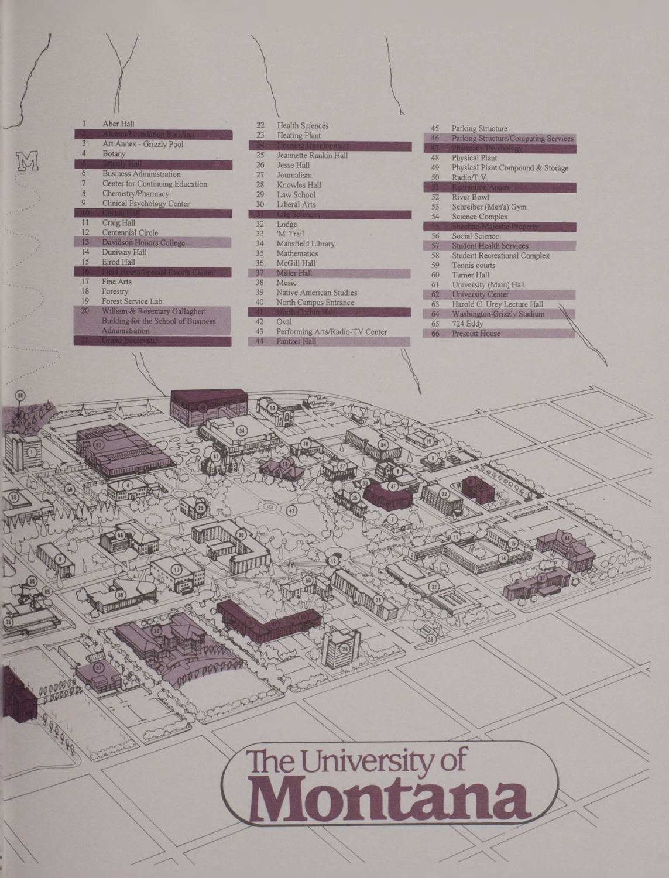## Aber Hall Art Annex - Grizzly Pool<br>Botany

- Eusiness Administration 27 Journalism<br>
1997 Center for Continuing Education 28 Knowles Hall Center for Continuing Education
- Example 1999 Chemistry/Pharmacy 29 Law School<br>
29 Law School<br>
29 Liberal Arts<br>
29 Liberal Arts Clinical Psychology Center 30 Schreiber (Men's) Schreiber (Men's) Gymreiber (Men's) Gymreiber (Men's) Gymreiber (Men's) Gymreiber (Men's) Gymreiber (Men's) Gymreiber (Men's) Gymreiber (Men's) Gymreiber (Men's) Gymreiber (M
- 
- 
- 
- 14 Duniway Hall 35 Mathematics 58 Student Recreation 36 Mathematics 58 Mathematics 58 McGill Hall
- 
- 
- 
- Building for the School of Business 42 Oval 65 724 Eddy<br>
Administration 43 Performing Arts/Radio-TV Center 66 Prescott House
- 22 Health Sciences<br>
23 Heating Plant<br>
23 Heating Plant<br>
24 Derking Structure
- 25 Jeannette Rankin Hall
- 
- 
- 
- 
- 
- Craig Hall 32 Lodge<br>
Centennial Circle 33 M' Tra
	-
	-
	- 36 McGill Hall<br>37 Miller Hall 37 Miller Hall<br>38 Music
		-

 $\bigcirc$  (42)

STILL

- 18 Forestry 39 Native American Studies 62 University 39 Native American Studies 62 University Center 62 University Center 62 University Center 62 University Center 62 University Center 62 University Center 62 University Ce
	- North Campus Entrance

- 
- Pantzer Hall **Pantzer Hall** 44

|    | <b>Turnal Scindalion Building</b>   | 23          | <b>Heating Plant</b>                  |    |                                      |
|----|-------------------------------------|-------------|---------------------------------------|----|--------------------------------------|
|    | Art Annex - Grizzly Pool            |             | Jonsme Development                    | 46 | Parking Structure/Computing Services |
| 4  | Botany                              | 25          | Jeannette Rankin Hall                 |    | Pharmacy/Psychology                  |
|    |                                     | 26          | Jesse Hall                            | 48 | <b>Physical Plant</b>                |
| 6  | <b>Business Administration</b>      | 27          | Journalism                            | 49 | Physical Plant Compound & Storage    |
|    | Center for Continuing Education     | 28          | Knowles Hall                          | 50 | Radio/T.V.                           |
| 8  | Chemistry/Pharmacy                  |             |                                       |    | Recreation Annex                     |
| 9  |                                     | 29          | Law School                            | 52 | River Bowl                           |
|    | Clinical Psychology Center          | 30          | Liberal Arts                          | 53 | Schreiber (Men's) Gym                |
|    |                                     |             | <b>Sciences</b>                       | 54 | <b>Science Complex</b>               |
| 11 | Craig Hall                          | 32          | Lodge                                 |    | Sheehan-Majestic Property            |
| 12 | Centennial Circle                   | 33          | 'M' Trail                             | 56 | Social Science                       |
| 13 | Davidson Honors College             | 34          | Mansfield Library                     | 57 | <b>Student Health Services</b>       |
| 14 | Duniway Hall                        | 35          | Mathematics                           | 58 | <b>Student Recreational Complex</b>  |
| 15 | Elrod Hall                          | 36          | McGill Hall                           | 59 | Tennis courts                        |
|    | ield House/Special Events Center    | 37          | Miller Hall                           | 60 | Turner Hall                          |
| 17 | Fine Arts                           | 38          | Music                                 | 61 | University (Main) Hall               |
| 18 | Forestry                            | 39          | Native American Studies               | 62 | <b>University Center</b>             |
| 19 | Forest Service Lab                  | 40          | North Campus Entrance                 | 63 | Harold C. Urey Lecture Hall          |
| 20 | William & Rosemary Gallagher        |             | North Corbin Hall                     | 64 | Washington-Grizzly Stadium           |
|    | Building for the School of Business | 42          | Oval                                  | 65 | 724 Eddy                             |
|    | A doministration                    | $A \supset$ | $D  f_1 = -1$ $A - (D - 1) - T^T T^T$ |    |                                      |

The University of